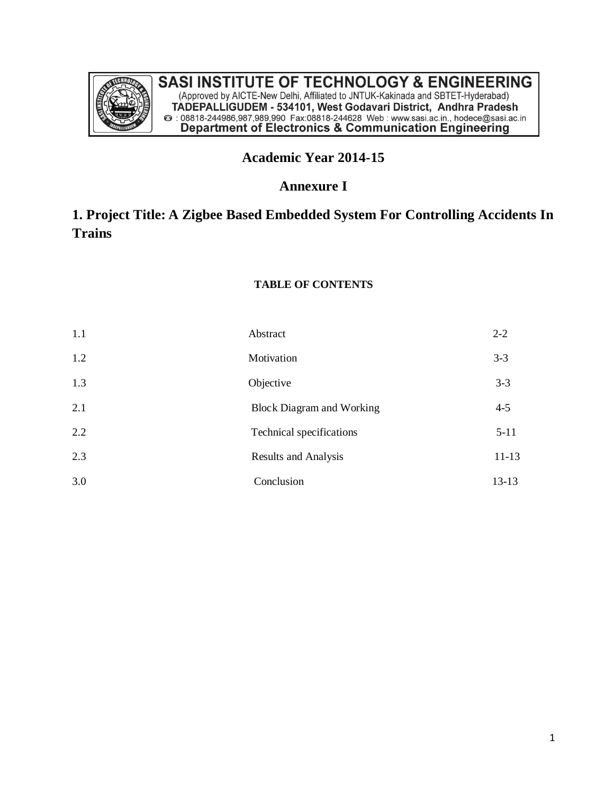

# **Academic Year 2014-15**

# **Annexure I**

# **1. Project Title: A Zigbee Based Embedded System For Controlling Accidents In Trains**

# **TABLE OF CONTENTS**

| 1.1 | Abstract                         | $2 - 2$   |
|-----|----------------------------------|-----------|
| 1.2 | Motivation                       | $3 - 3$   |
| 1.3 | Objective                        | $3 - 3$   |
| 2.1 | <b>Block Diagram and Working</b> | $4 - 5$   |
| 2.2 | Technical specifications         | $5 - 11$  |
| 2.3 | <b>Results and Analysis</b>      | $11 - 13$ |
| 3.0 | Conclusion                       | $13 - 13$ |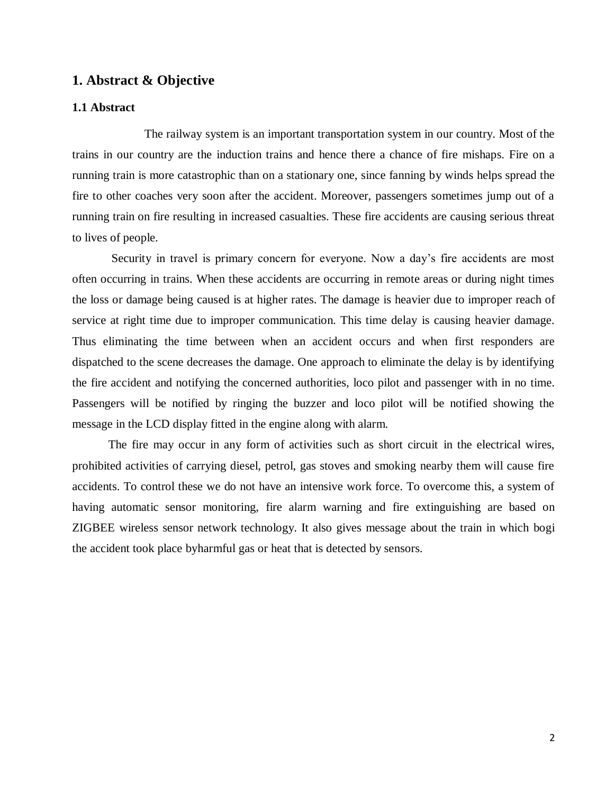### **1. Abstract & Objective**

#### **1.1 Abstract**

The railway system is an important transportation system in our country. Most of the trains in our country are the induction trains and hence there a chance of fire mishaps. Fire on a running train is more catastrophic than on a stationary one, since fanning by winds helps spread the fire to other coaches very soon after the accident. Moreover, passengers sometimes jump out of a running train on fire resulting in increased casualties. These fire accidents are causing serious threat to lives of people.

Security in travel is primary concern for everyone. Now a day's fire accidents are most often occurring in trains. When these accidents are occurring in remote areas or during night times the loss or damage being caused is at higher rates. The damage is heavier due to improper reach of service at right time due to improper communication. This time delay is causing heavier damage. Thus eliminating the time between when an accident occurs and when first responders are dispatched to the scene decreases the damage. One approach to eliminate the delay is by identifying the fire accident and notifying the concerned authorities, loco pilot and passenger with in no time. Passengers will be notified by ringing the buzzer and loco pilot will be notified showing the message in the LCD display fitted in the engine along with alarm.

The fire may occur in any form of activities such as short circuit in the electrical wires, prohibited activities of carrying diesel, petrol, gas stoves and smoking nearby them will cause fire accidents. To control these we do not have an intensive work force. To overcome this, a system of having automatic sensor monitoring, fire alarm warning and fire extinguishing are based on ZIGBEE wireless sensor network technology. It also gives message about the train in which bogi the accident took place byharmful gas or heat that is detected by sensors.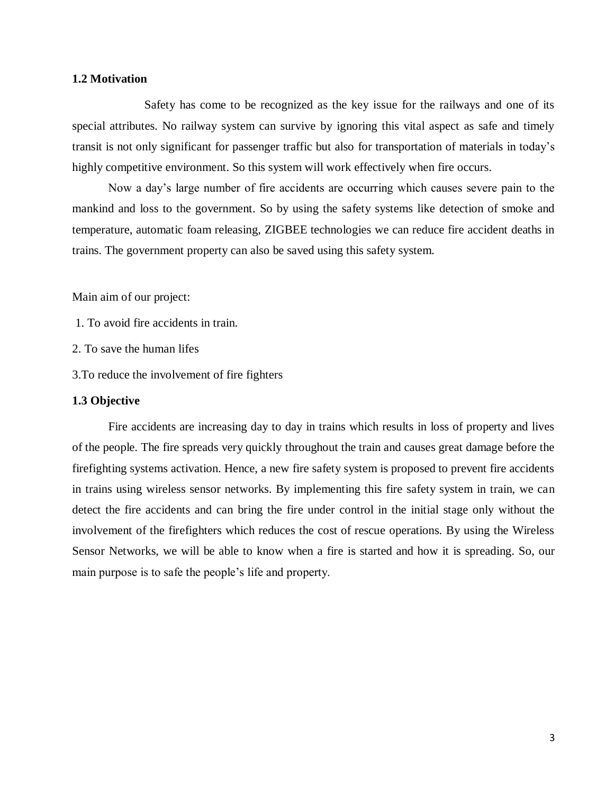#### **1.2 Motivation**

Safety has come to be recognized as the key issue for the railways and one of its special attributes. No railway system can survive by ignoring this vital aspect as safe and timely transit is not only significant for passenger traffic but also for transportation of materials in today's highly competitive environment. So this system will work effectively when fire occurs.

Now a day's large number of fire accidents are occurring which causes severe pain to the mankind and loss to the government. So by using the safety systems like detection of smoke and temperature, automatic foam releasing, ZIGBEE technologies we can reduce fire accident deaths in trains. The government property can also be saved using this safety system.

Main aim of our project:

- 1. To avoid fire accidents in train.
- 2. To save the human lifes
- 3.To reduce the involvement of fire fighters

#### **1.3 Objective**

Fire accidents are increasing day to day in trains which results in loss of property and lives of the people. The fire spreads very quickly throughout the train and causes great damage before the firefighting systems activation. Hence, a new fire safety system is proposed to prevent fire accidents in trains using wireless sensor networks. By implementing this fire safety system in train, we can detect the fire accidents and can bring the fire under control in the initial stage only without the involvement of the firefighters which reduces the cost of rescue operations. By using the Wireless Sensor Networks, we will be able to know when a fire is started and how it is spreading. So, our main purpose is to safe the people's life and property.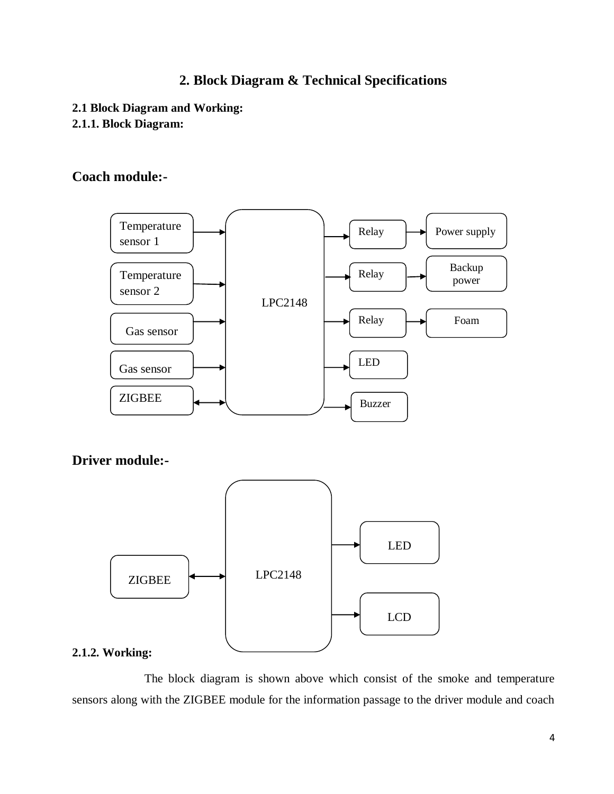# **2. Block Diagram & Technical Specifications**

**2.1 Block Diagram and Working: 2.1.1. Block Diagram:**

# **Coach module:-**



**Driver module:-**



### **2.1.2. Working:**

The block diagram is shown above which consist of the smoke and temperature sensors along with the ZIGBEE module for the information passage to the driver module and coach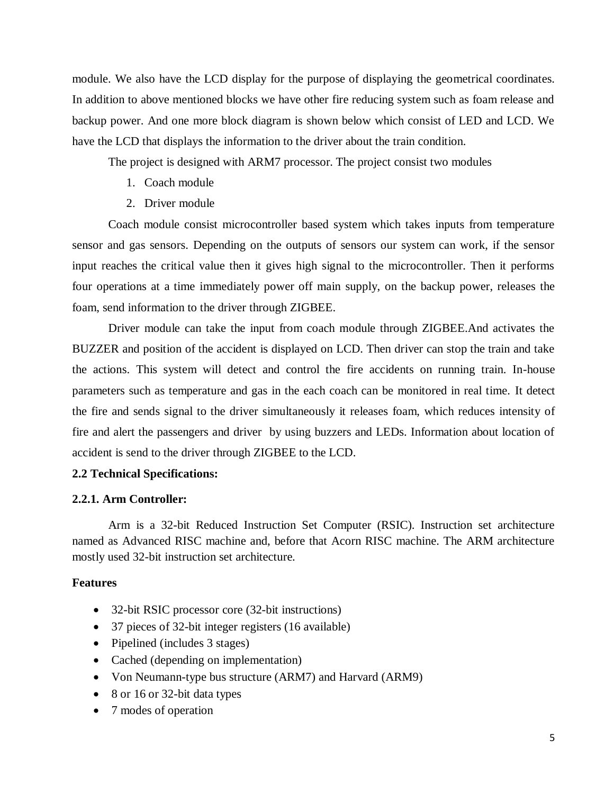module. We also have the LCD display for the purpose of displaying the geometrical coordinates. In addition to above mentioned blocks we have other fire reducing system such as foam release and backup power. And one more block diagram is shown below which consist of LED and LCD. We have the LCD that displays the information to the driver about the train condition.

The project is designed with ARM7 processor. The project consist two modules

- 1. Coach module
- 2. Driver module

Coach module consist microcontroller based system which takes inputs from temperature sensor and gas sensors. Depending on the outputs of sensors our system can work, if the sensor input reaches the critical value then it gives high signal to the microcontroller. Then it performs four operations at a time immediately power off main supply, on the backup power, releases the foam, send information to the driver through ZIGBEE.

Driver module can take the input from coach module through ZIGBEE.And activates the BUZZER and position of the accident is displayed on LCD. Then driver can stop the train and take the actions. This system will detect and control the fire accidents on running train. In-house parameters such as temperature and gas in the each coach can be monitored in real time. It detect the fire and sends signal to the driver simultaneously it releases foam, which reduces intensity of fire and alert the passengers and driver by using buzzers and LEDs. Information about location of accident is send to the driver through ZIGBEE to the LCD.

#### **2.2 Technical Specifications:**

#### **2.2.1. Arm Controller:**

Arm is a 32-bit Reduced Instruction Set Computer (RSIC). Instruction set architecture named as Advanced RISC machine and, before that Acorn RISC machine. The ARM architecture mostly used 32-bit instruction set architecture.

#### **Features**

- 32-bit RSIC processor core (32-bit instructions)
- 37 pieces of 32-bit integer registers (16 available)
- Pipelined (includes 3 stages)
- Cached (depending on implementation)
- Von Neumann-type bus structure (ARM7) and Harvard (ARM9)
- 8 or 16 or 32-bit data types
- 7 modes of operation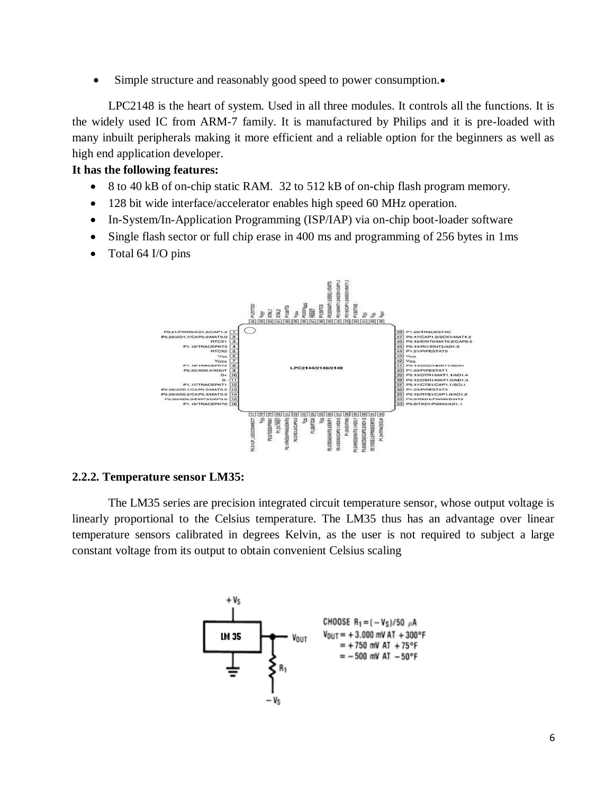• Simple structure and reasonably good speed to power consumption.

LPC2148 is the heart of system. Used in all three modules. It controls all the functions. It is the widely used IC from ARM-7 family. It is manufactured by Philips and it is pre-loaded with many inbuilt peripherals making it more efficient and a reliable option for the beginners as well as high end application developer.

### **It has the following features:**

- 8 to 40 kB of on-chip static RAM. 32 to 512 kB of on-chip flash program memory.
- 128 bit wide interface/accelerator enables high speed 60 MHz operation.
- In-System/In-Application Programming (ISP/IAP) via on-chip boot-loader software
- Single flash sector or full chip erase in 400 ms and programming of 256 bytes in 1 ms
- Total 64 I/O pins



#### **2.2.2. Temperature sensor LM35:**

The LM35 series are precision integrated circuit temperature sensor, whose output voltage is linearly proportional to the Celsius temperature. The LM35 thus has an advantage over linear temperature sensors calibrated in degrees Kelvin, as the user is not required to subject a large constant voltage from its output to obtain convenient Celsius scaling

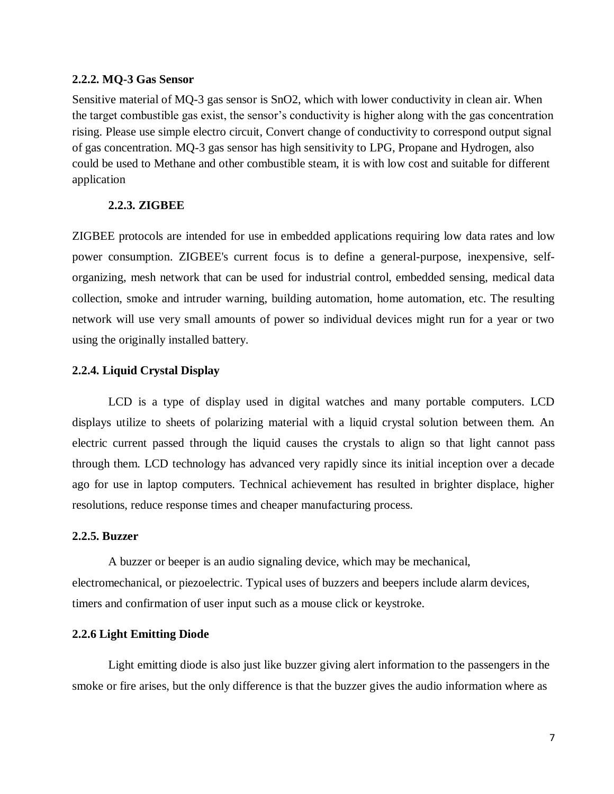#### **2.2.2. MQ-3 Gas Sensor**

Sensitive material of MQ-3 gas sensor is SnO2, which with lower conductivity in clean air. When the target combustible gas exist, the sensor's conductivity is higher along with the gas concentration rising. Please use simple electro circuit, Convert change of conductivity to correspond output signal of gas concentration. MQ-3 gas sensor has high sensitivity to LPG, Propane and Hydrogen, also could be used to Methane and other combustible steam, it is with low cost and suitable for different application

#### **2.2.3. ZIGBEE**

ZIGBEE protocols are intended for use in embedded applications requiring low [data rates](http://en.wikipedia.org/wiki/Data_rate) and low [power consumption.](http://en.wikipedia.org/wiki/Power_consumption) ZIGBEE's current focus is to define a general-purpose, inexpensive, selforganizing, [mesh network](http://en.wikipedia.org/wiki/Mesh_network) that can be used for industrial control, embedded sensing, medical data collection, smoke and intruder warning, building automation, [home automation,](http://en.wikipedia.org/wiki/Home_automation) etc. The resulting network will use very small amounts of power so individual devices might run for a year or two using the originally installed battery.

#### **2.2.4. Liquid Crystal Display**

LCD is a type of display used in digital watches and many portable computers. LCD displays utilize to sheets of polarizing material with a liquid crystal solution between them. An electric current passed through the liquid causes the crystals to align so that light cannot pass through them. LCD technology has advanced very rapidly since its initial inception over a decade ago for use in laptop computers. Technical achievement has resulted in brighter displace, higher resolutions, reduce response times and cheaper manufacturing process.

#### **2.2.5. Buzzer**

A buzzer or beeper is an audio signaling device, which may be mechanical, electromechanical, or piezoelectric. Typical uses of buzzers and beepers include alarm devices, timers and confirmation of user input such as a mouse click or keystroke.

#### **2.2.6 Light Emitting Diode**

Light emitting diode is also just like buzzer giving alert information to the passengers in the smoke or fire arises, but the only difference is that the buzzer gives the audio information where as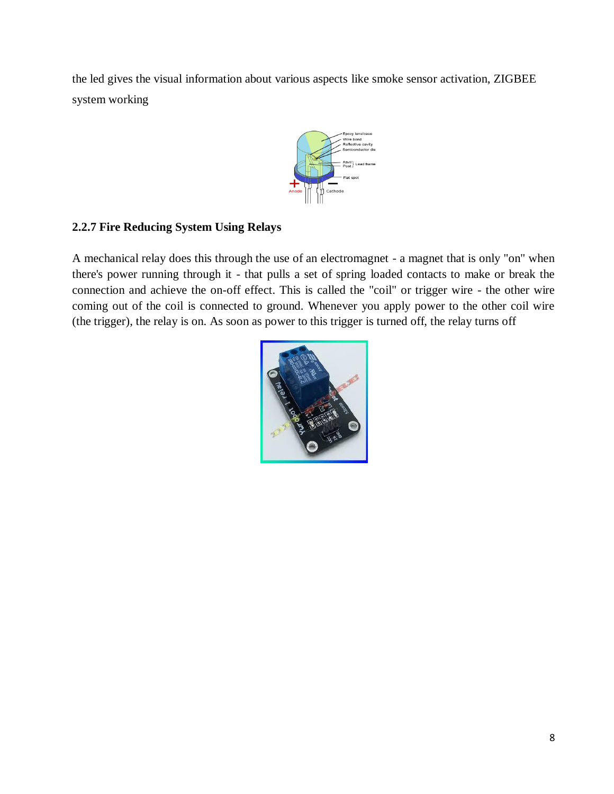the led gives the visual information about various aspects like smoke sensor activation, ZIGBEE system working



# **2.2.7 Fire Reducing System Using Relays**

A mechanical relay does this through the use of an electromagnet - a magnet that is only "on" when there's power running through it - that pulls a set of spring loaded contacts to make or break the connection and achieve the on-off effect. This is called the "coil" or trigger wire - the other wire coming out of the coil is connected to ground. Whenever you apply power to the other coil wire (the trigger), the relay is on. As soon as power to this trigger is turned off, the relay turns off

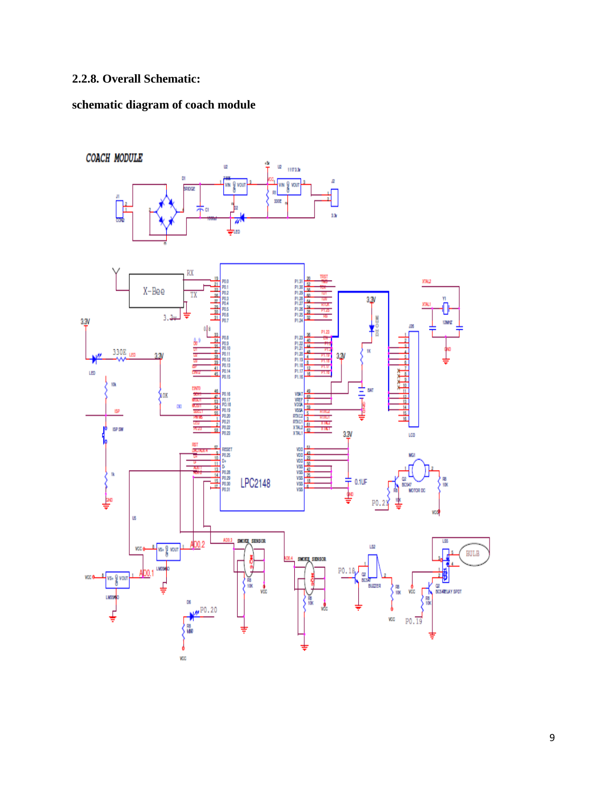### **2.2.8. Overall Schematic:**

## **schematic diagram of coach module**



9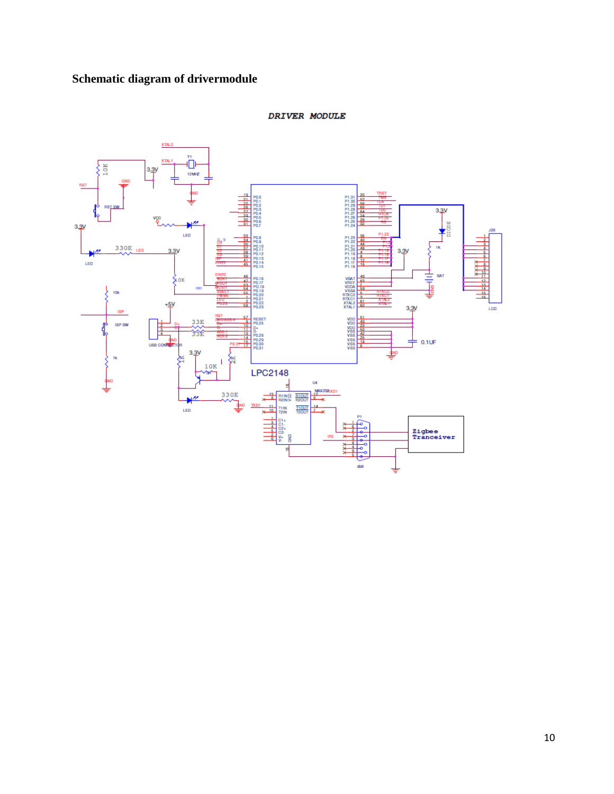# **Schematic diagram of drivermodule**



**DRIVER MODULE**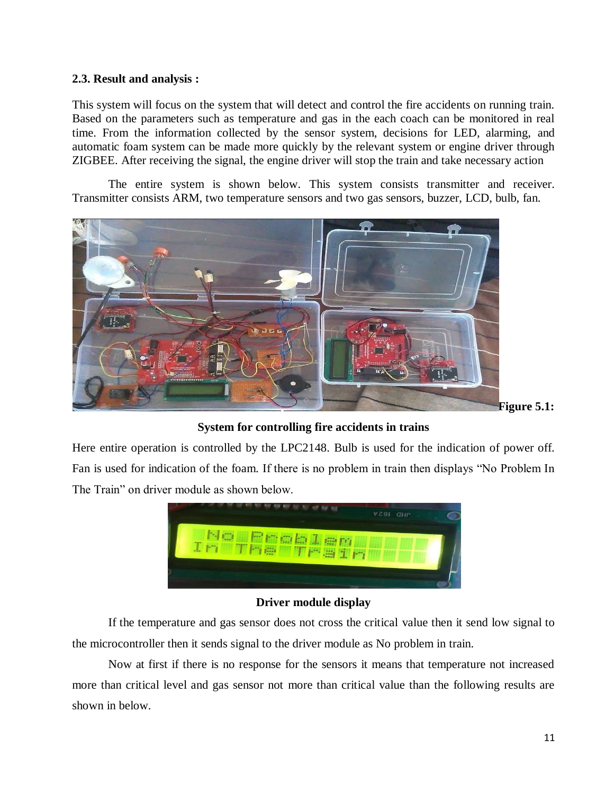### **2.3. Result and analysis :**

This system will focus on the system that will detect and control the fire accidents on running train. Based on the parameters such as temperature and gas in the each coach can be monitored in real time. From the information collected by the sensor system, decisions for LED, alarming, and automatic foam system can be made more quickly by the relevant system or engine driver through ZIGBEE. After receiving the signal, the engine driver will stop the train and take necessary action

The entire system is shown below. This system consists transmitter and receiver. Transmitter consists ARM, two temperature sensors and two gas sensors, buzzer, LCD, bulb, fan.



### **System for controlling fire accidents in trains**

Here entire operation is controlled by the LPC2148. Bulb is used for the indication of power off. Fan is used for indication of the foam. If there is no problem in train then displays "No Problem In The Train" on driver module as shown below.



### **Driver module display**

If the temperature and gas sensor does not cross the critical value then it send low signal to the microcontroller then it sends signal to the driver module as No problem in train.

Now at first if there is no response for the sensors it means that temperature not increased more than critical level and gas sensor not more than critical value than the following results are shown in below.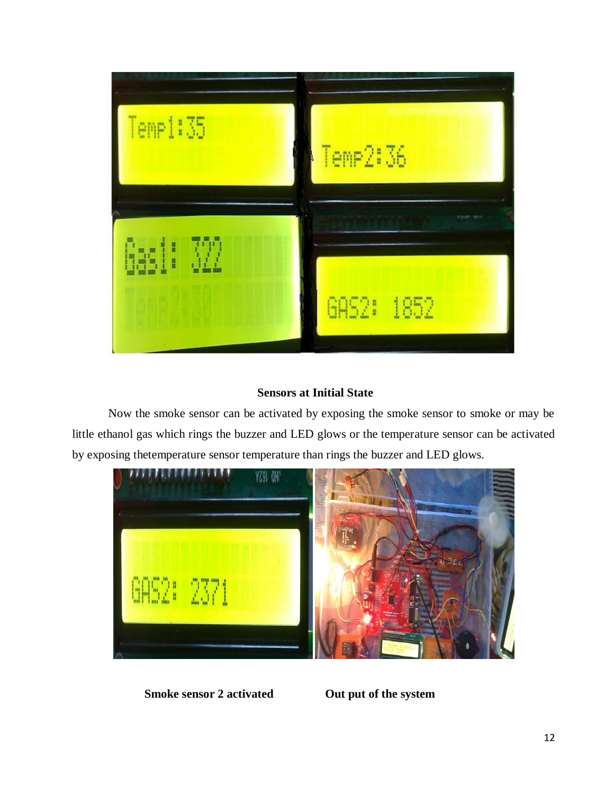

# **Sensors at Initial State**

Now the smoke sensor can be activated by exposing the smoke sensor to smoke or may be little ethanol gas which rings the buzzer and LED glows or the temperature sensor can be activated by exposing thetemperature sensor temperature than rings the buzzer and LED glows.



**Smoke sensor 2 activated Out put of the system**